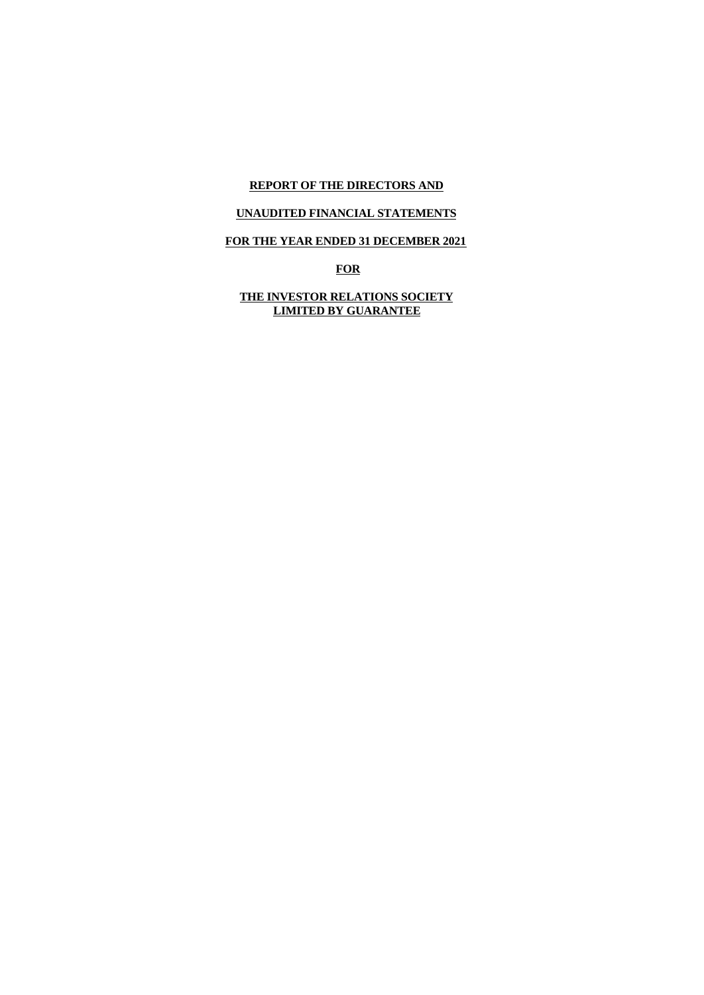# **REPORT OF THE DIRECTORS AND**

# **UNAUDITED FINANCIAL STATEMENTS**

# **FOR THE YEAR ENDED 31 DECEMBER 2021**

**FOR**

**THE INVESTOR RELATIONS SOCIETY LIMITED BY GUARANTEE**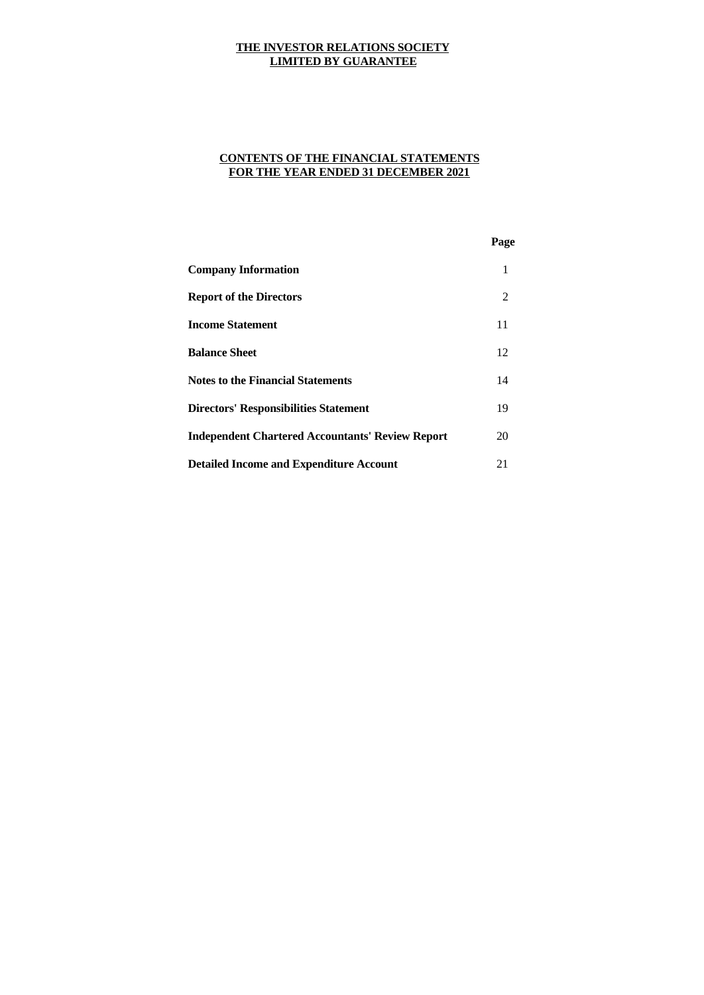# **CONTENTS OF THE FINANCIAL STATEMENTS FOR THE YEAR ENDED 31 DECEMBER 2021**

|                                                         | Page |  |
|---------------------------------------------------------|------|--|
| <b>Company Information</b>                              | 1    |  |
| <b>Report of the Directors</b>                          | 2    |  |
| <b>Income Statement</b>                                 | 11   |  |
| <b>Balance Sheet</b>                                    | 12   |  |
| <b>Notes to the Financial Statements</b>                | 14   |  |
| <b>Directors' Responsibilities Statement</b>            | 19   |  |
| <b>Independent Chartered Accountants' Review Report</b> | 20   |  |
| <b>Detailed Income and Expenditure Account</b>          | 21   |  |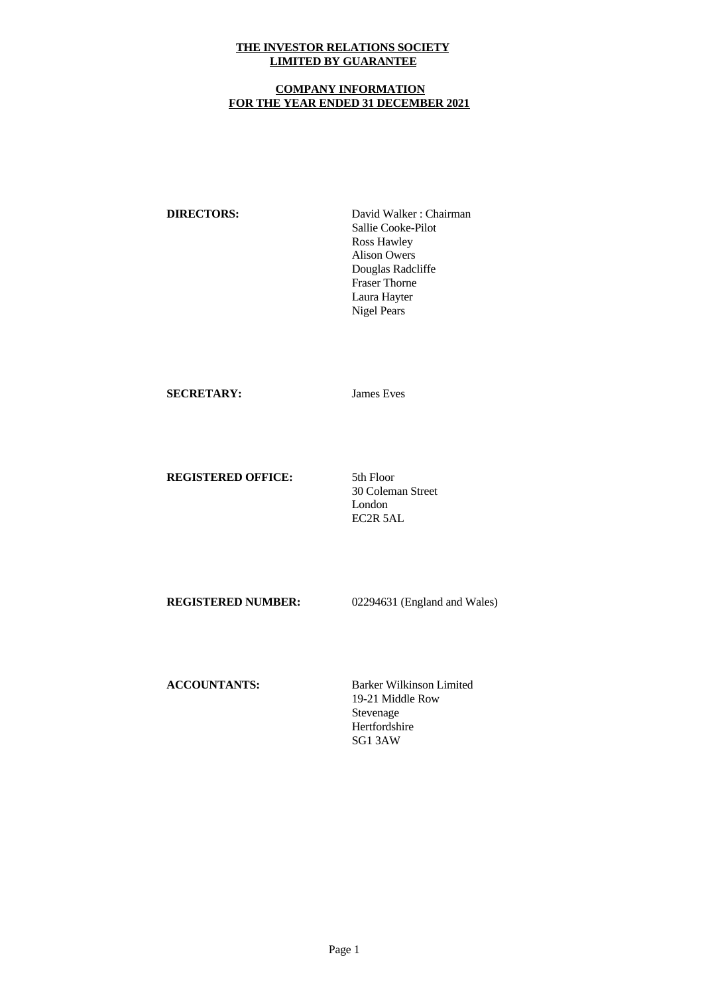## **COMPANY INFORMATION FOR THE YEAR ENDED 31 DECEMBER 2021**

**DIRECTORS:** David Walker: Chairman Sallie Cooke-Pilot Ross Hawley Alison Owers Douglas Radcliffe Fraser Thorne Laura Hayter Nigel Pears

## **SECRETARY:** James Eves

# **REGISTERED OFFICE:** 5th Floor

30 Coleman Street London EC2R 5AL

**REGISTERED NUMBER:** 02294631 (England and Wales)

**ACCOUNTANTS:** Barker Wilkinson Limited 19-21 Middle Row Stevenage Hertfordshire SG1 3AW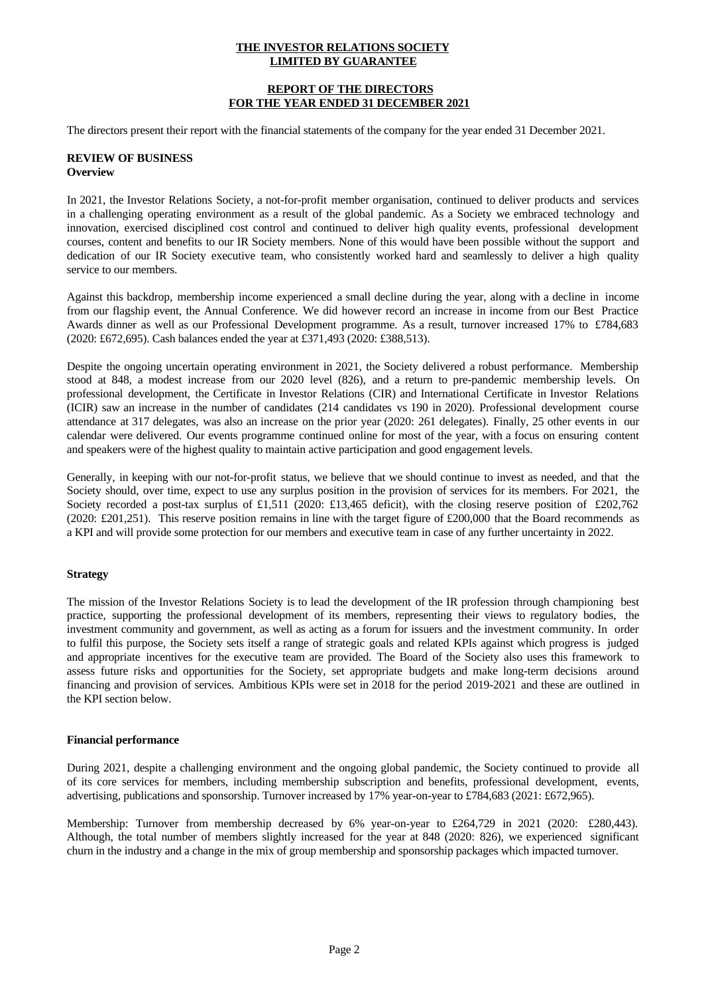## **REPORT OF THE DIRECTORS FOR THE YEAR ENDED 31 DECEMBER 2021**

The directors present their report with the financial statements of the company for the year ended 31 December 2021.

## **REVIEW OF BUSINESS Overview**

In 2021, the Investor Relations Society, a not-for-profit member organisation, continued to deliver products and services in a challenging operating environment as a result of the global pandemic. As a Society we embraced technology and innovation, exercised disciplined cost control and continued to deliver high quality events, professional development courses, content and benefits to our IR Society members. None of this would have been possible without the support and dedication of our IR Society executive team, who consistently worked hard and seamlessly to deliver a high quality service to our members.

Against this backdrop, membership income experienced a small decline during the year, along with a decline in income from our flagship event, the Annual Conference. We did however record an increase in income from our Best Practice Awards dinner as well as our Professional Development programme. As a result, turnover increased 17% to £784,683 (2020: £672,695). Cash balances ended the year at £371,493 (2020: £388,513).

Despite the ongoing uncertain operating environment in 2021, the Society delivered a robust performance. Membership stood at 848, a modest increase from our 2020 level (826), and a return to pre-pandemic membership levels. On professional development, the Certificate in Investor Relations (CIR) and International Certificate in Investor Relations (ICIR) saw an increase in the number of candidates (214 candidates vs 190 in 2020). Professional development course attendance at 317 delegates, was also an increase on the prior year (2020: 261 delegates). Finally, 25 other events in our calendar were delivered. Our events programme continued online for most of the year, with a focus on ensuring content and speakers were of the highest quality to maintain active participation and good engagement levels.

Generally, in keeping with our not-for-profit status, we believe that we should continue to invest as needed, and that the Society should, over time, expect to use any surplus position in the provision of services for its members. For 2021, the Society recorded a post-tax surplus of £1,511 (2020: £13,465 deficit), with the closing reserve position of £202,762 (2020: £201,251). This reserve position remains in line with the target figure of £200,000 that the Board recommends as a KPI and will provide some protection for our members and executive team in case of any further uncertainty in 2022.

# **Strategy**

The mission of the Investor Relations Society is to lead the development of the IR profession through championing best practice, supporting the professional development of its members, representing their views to regulatory bodies, the investment community and government, as well as acting as a forum for issuers and the investment community. In order to fulfil this purpose, the Society sets itself a range of strategic goals and related KPIs against which progress is judged and appropriate incentives for the executive team are provided. The Board of the Society also usesthis framework to assess future risks and opportunities for the Society, set appropriate budgets and make long-term decisions around financing and provision of services. Ambitious KPIs were set in 2018 for the period 2019-2021 and these are outlined in the KPI section below.

## **Financial performance**

During 2021, despite a challenging environment and the ongoing global pandemic, the Society continued to provide all of its core services for members, including membership subscription and benefits, professional development, events, advertising, publications and sponsorship. Turnover increased by 17% year-on-year to £784,683 (2021: £672,965).

Membership: Turnover from membership decreased by 6% year-on-year to £264,729 in 2021 (2020: £280,443). Although, the total number of members slightly increased for the year at848 (2020: 826), we experienced significant churn in the industry and a change in the mix of group membership and sponsorship packages which impacted turnover.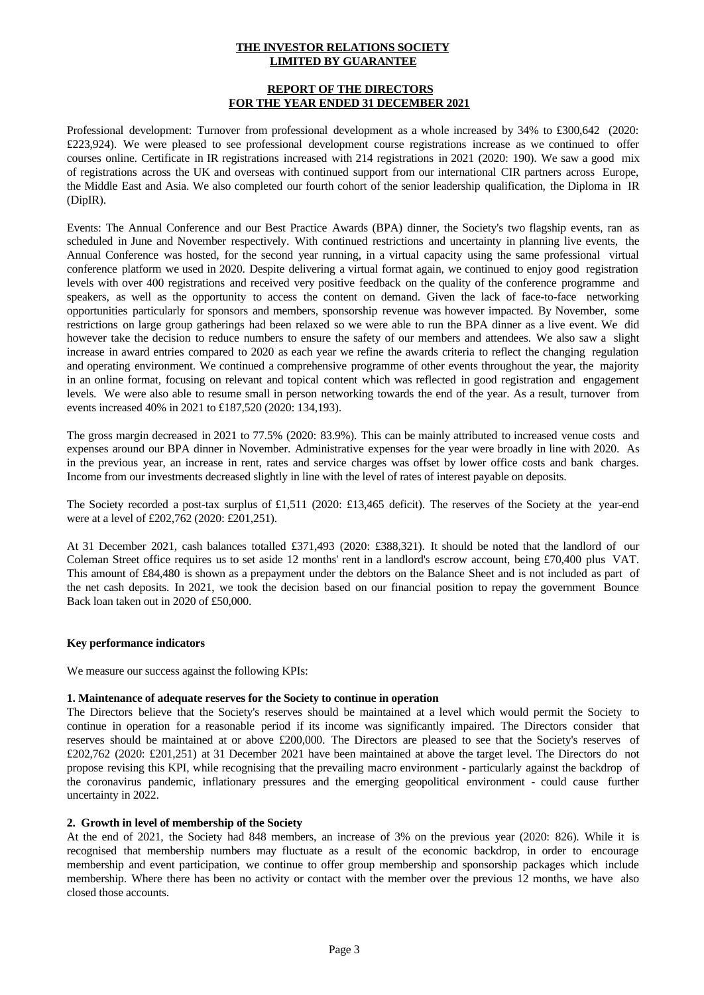## **REPORT OF THE DIRECTORS FOR THE YEAR ENDED 31 DECEMBER 2021**

Professional development: Turnover from professional development as a whole increased by 34% to £300,642 (2020: £223,924). We were pleased to see professional development course registrations increase as we continued to offer courses online. Certificate in IR registrations increased with 214 registrations in 2021 (2020: 190). We saw a good mix of registrations across the UK and overseas with continued support from our international CIR partners across Europe, the Middle East and Asia. We also completed our fourth cohort of the senior leadership qualification, the Diploma in IR (DipIR).

Events: The Annual Conference and our Best Practice Awards (BPA) dinner, the Society's two flagship events, ran as scheduled in June and November respectively. With continued restrictions and uncertainty in planning live events, the Annual Conference was hosted, for the second year running, in a virtual capacity using the same professional virtual conference platform we used in 2020. Despite delivering a virtual format again, we continued to enjoy good registration levels with over 400 registrations and received very positive feedback on the quality of the conference programme and speakers, as well as the opportunity to access the content on demand. Given the lack of face-to-face networking opportunities particularly for sponsors and members, sponsorship revenue was however impacted. By November, some restrictions on large group gatherings had been relaxed so we were able to run the BPA dinner as a live event. We did however take the decision to reduce numbers to ensure the safety of our members and attendees. We also saw a slight increase in award entries compared to 2020 as each year we refine the awards criteria to reflect the changing regulation and operating environment. We continued a comprehensive programme of other events throughout the year, the majority in an online format, focusing on relevant and topical content which was reflected in good registration and engagement levels. We were also able to resume small in person networking towards the end of the year. As a result, turnover from events increased 40% in 2021 to £187,520 (2020: 134,193).

The gross margin decreased in 2021 to 77.5% (2020: 83.9%). This can be mainly attributed to increased venue costs and expenses around our BPA dinner in November. Administrative expenses for the year were broadly in line with 2020. As in the previous year, an increase in rent, rates and service charges was offset by lower office costs and bank charges. Income from our investments decreased slightly in line with the level of rates of interest payable on deposits.

The Society recorded a post-tax surplus of £1,511 (2020: £13,465 deficit). The reserves of the Society at the year-end were at a level of £202,762 (2020: £201,251).

At 31 December 2021, cash balances totalled £371,493 (2020: £388,321). It should be noted that the landlord of our Coleman Street office requires us to set aside 12 months' rent in a landlord's escrow account, being £70,400 plus VAT. This amount of £84,480 is shown as a prepayment under the debtors on the Balance Sheet and is not included as part of the net cash deposits. In 2021, we took the decision based on our financial position to repay the government Bounce Back loan taken out in 2020 of £50,000.

## **Key performance indicators**

We measure our success against the following KPIs:

## **1. Maintenance of adequate reserves for the Society to continue in operation**

The Directors believe that the Society's reserves should be maintained at a level which would permit the Society to continue in operation for a reasonable period if its income was significantly impaired. The Directors consider that reserves should be maintained at or above £200,000. The Directors are pleased to see that the Society's reserves of £202,762 (2020: £201,251) at 31 December 2021 have been maintained at above the target level. The Directors do not propose revising this KPI, while recognising that the prevailing macro environment - particularly against the backdrop of the coronavirus pandemic, inflationary pressures and the emerging geopolitical environment - could cause further uncertainty in 2022.

## **2. Growth in level of membership of the Society**

At the end of 2021, the Society had 848 members, an increase of 3% on the previous year (2020: 826). While it is recognised that membership numbers may fluctuate as a result of the economic backdrop, in order to encourage membership and event participation, we continue to offer group membership and sponsorship packages which include membership. Where there has been no activity or contact with the member over the previous 12 months, we have also closed those accounts.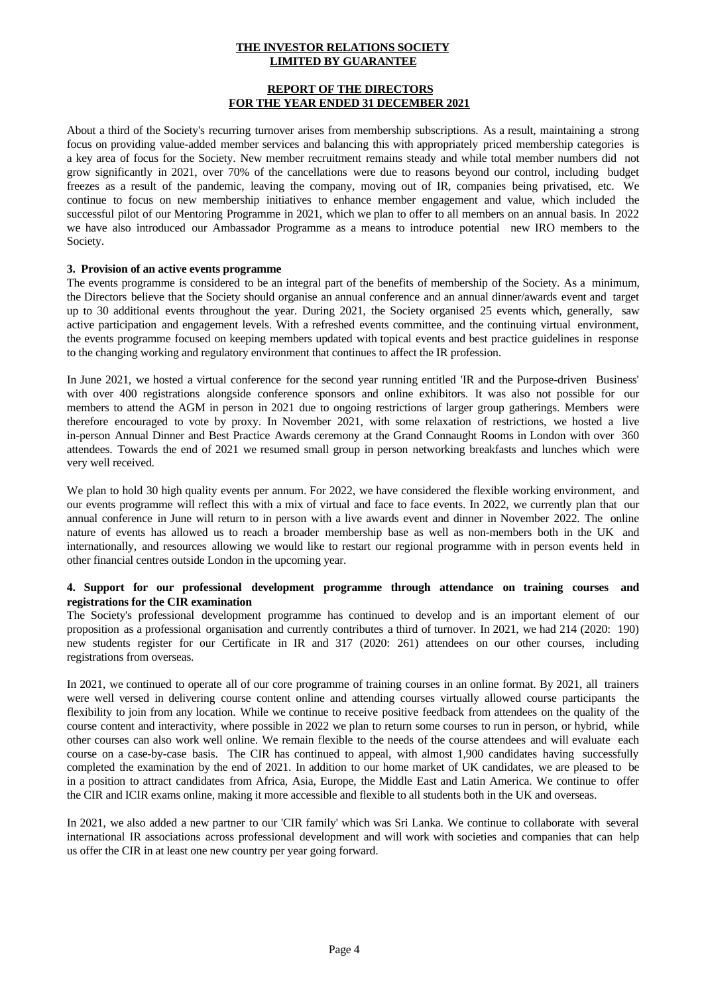### **REPORT OF THE DIRECTORS FOR THE YEAR ENDED 31 DECEMBER 2021**

About a third of the Society's recurring turnover arises from membership subscriptions. As a result, maintaining a strong focus on providing value-added member services and balancing this with appropriately priced membership categories is a key area of focus for the Society. New member recruitment remains steady and while total member numbers did not grow significantly in 2021, over 70% of the cancellations were due to reasons beyond our control, including budget freezes as a result of the pandemic, leaving the company, moving out of IR, companies being privatised, etc. We continue to focus on new membership initiatives to enhance member engagement and value, which included the successful pilot of our Mentoring Programme in 2021, which we plan to offerto all members on an annual basis. In 2022 we have also introduced our Ambassador Programme as a means to introduce potential new IRO members to the Society.

#### **3. Provision of an active events programme**

The events programme is considered to be an integral part of the benefits of membership of the Society. As a minimum, the Directors believe that the Society should organise an annual conference and an annual dinner/awards event and target up to 30 additional events throughout the year. During 2021, the Society organised 25 events which, generally, saw active participation and engagement levels. With a refreshed events committee, and the continuing virtual environment, the events programme focused on keeping members updated with topical events and best practice guidelines in response to the changing working and regulatory environment that continues to affect the IR profession.

In June 2021, we hosted a virtual conference for the second year running entitled 'IR and the Purpose-driven Business' with over 400 registrations alongside conference sponsors and online exhibitors. It was also not possible for our members to attend the AGM in person in 2021 due to ongoing restrictions of larger group gatherings. Members were therefore encouraged to vote by proxy. In November 2021, with some relaxation of restrictions, we hosted a live in-person Annual Dinner and Best Practice Awards ceremony at the Grand Connaught Rooms in London with over 360 attendees. Towards the end of 2021 we resumed small group in person networking breakfasts and lunches which were very well received.

We plan to hold 30 high quality events per annum. For 2022, we have considered the flexible working environment, and our events programme will reflect this with a mix of virtual and face to face events. In 2022, we currently plan that our annual conference in June will return to in person with a live awards event and dinner in November 2022. The online nature of events has allowed us to reach a broader membership base as wellas non-members both in the UK and internationally, and resources allowing we would like to restart our regional programme with in person events held in other financial centres outside London in the upcoming year.

## **4. Support for our professional development programme through attendance on training courses and registrations for the CIR examination**

The Society's professional development programme has continued to develop and is an important element of our proposition as a professional organisation and currently contributes a third of turnover. In 2021, we had 214 (2020: 190) new students register for our Certificate in IR and 317 (2020: 261) attendees on our other courses, including registrations from overseas.

In 2021, we continued to operate all of our core programme of training courses in an online format. By 2021, all trainers were well versed in delivering course content online and attending courses virtually allowed course participants the flexibility to join from any location. While we continue to receive positive feedback from attendees onthe quality of the course contentand interactivity, where possible in 2022 we plan to return some courses to run in person, or hybrid, while other courses can also work well online. We remain flexible to the needs of the course attendees and will evaluate each course on a case-by-case basis. The CIR has continued to appeal, with almost 1,900 candidates having successfully completed the examination by the end of 2021. In addition to our home market of UK candidates, we are pleased to be in a position to attract candidates from Africa, Asia, Europe, the Middle East and Latin America. We continue to offer the CIR and ICIR exams online, making it more accessible and flexible to all students both in the UK and overseas.

In 2021, we also added a new partner to our 'CIR family' which was Sri Lanka. We continue to collaborate with several international IR associations across professional development and will work with societies and companies that can help us offer the CIR in at least one new country per year going forward.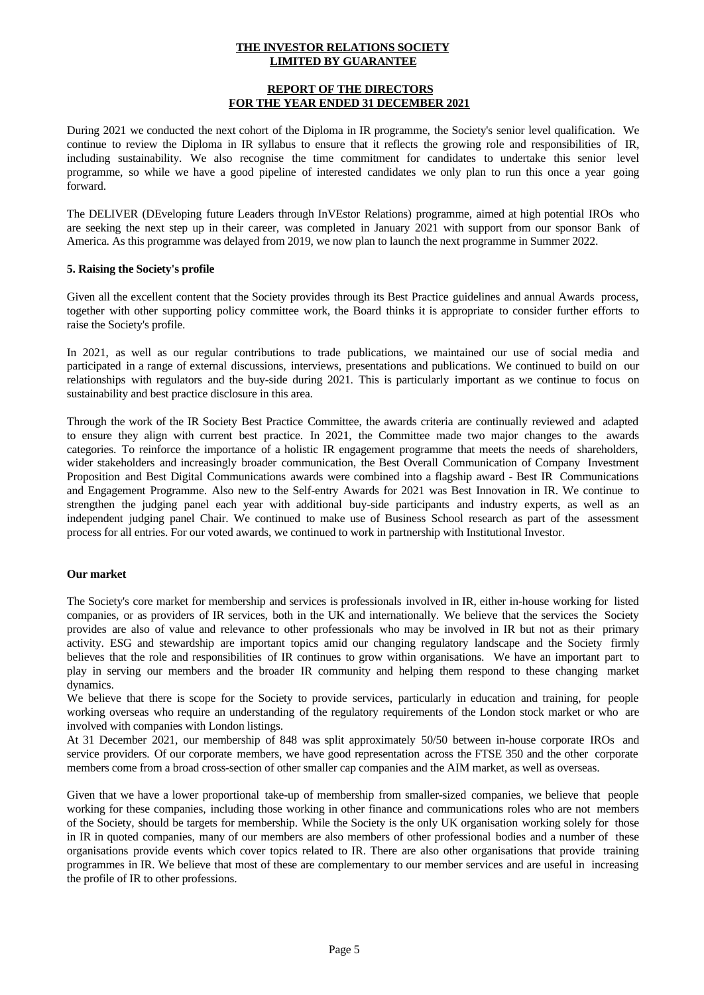#### **REPORT OF THE DIRECTORS FOR THE YEAR ENDED 31 DECEMBER 2021**

During 2021 we conducted the next cohort of the Diploma in IR programme, the Society's senior level qualification. We continue to review the Diploma in IR syllabus to ensure that it reflects the growing role and responsibilities of IR, including sustainability. We also recognise the time commitment for candidates to undertake this senior level programme, so while we have a good pipeline of interested candidates we only plan to run this once a year going forward.

The DELIVER (DEveloping future Leaders through InVEstor Relations) programme, aimed at high potential IROs who are seeking the next step up in their career, was completed in January 2021 with support from our sponsor Bank of America. As this programme was delayed from 2019, we now plan to launch the next programme in Summer 2022.

#### **5. Raising the Society's profile**

Given all the excellent content that the Society provides through its Best Practice guidelines and annual Awards process, together with other supporting policy committee work, the Board thinks it is appropriate to consider further efforts to raise the Society's profile.

In 2021, as well as our regular contributions to trade publications, we maintained our use of social media and participated in a range of external discussions, interviews, presentations and publications. We continued to build on our relationships with regulators and the buy-side during 2021. This is particularly important as we continue to focus on sustainability and best practice disclosure in this area.

Through the work of the IR Society Best Practice Committee, the awards criteria are continually reviewed and adapted to ensure they align with current best practice. In 2021, the Committee made two major changes to the awards categories. To reinforce the importance of a holistic IR engagement programme that meets the needs of shareholders, wider stakeholders and increasingly broader communication, the Best Overall Communication of Company Investment Proposition and Best Digital Communications awards were combined into a flagship award - Best IR Communications and Engagement Programme. Also new to the Self-entry Awards for 2021 was Best Innovation in IR. We continue to strengthen the judging panel each year with additional buy-side participants and industry experts, as well as an independent judging panel Chair. We continued to make use of Business School research as part of the assessment process for all entries. For our voted awards, we continued to work in partnership with Institutional Investor.

#### **Our market**

The Society's core market for membership and services is professionals involved in IR, either in-house working for listed companies, or as providers of IR services, both in the UK and internationally. We believe that the services the Society provides are also of value and relevance to other professionals who may be involved in IR butnot as their primary activity. ESG and stewardship are important topics amid our changing regulatory landscape and the Society firmly believes that the role and responsibilities of IR continues to grow within organisations. We have an important part to play in serving our members and the broader IR community and helping them respond to these changing market dynamics.

We believe that there is scope for the Society to provide services, particularly in education and training, for people working overseas who require an understanding of the regulatory requirements of the London stock market or who are involved with companies with London listings.

At 31 December 2021, our membership of 848 was split approximately 50/50 between in-house corporate IROs and service providers. Of our corporate members, we have good representation across the FTSE 350 and the other corporate members come from a broad cross-section of other smaller cap companies and the AIM market, as well as overseas.

Given that we have a lower proportional take-up of membership from smaller-sized companies, we believe that people working for these companies, including those working in other finance and communications roles who are not members of the Society, should be targets for membership. While the Society is the only UK organisation working solely for those in IR in quoted companies, many of our members are also members of other professional bodies and a number of these organisations provide events which cover topics related to IR. There are also other organisations that provide training programmes in IR. We believe that most of these are complementary to our member services and are usefulin increasing the profile of IR to other professions.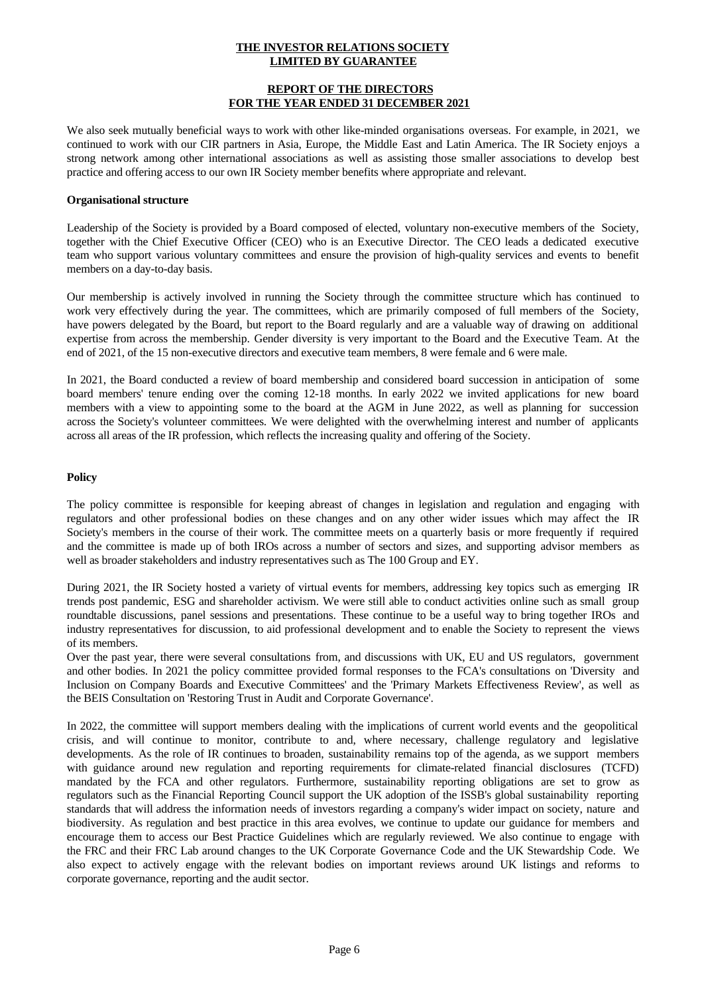#### **REPORT OF THE DIRECTORS FOR THE YEAR ENDED 31 DECEMBER 2021**

We also seek mutually beneficial ways to work with other like-minded organisations overseas. For example, in 2021, we continued to work with our CIR partners in Asia, Europe, the Middle East and Latin America. The IR Society enjoys a strong network among other international associations as wellas assisting those smaller associations to develop best practice and offering access to our own IR Society member benefits where appropriate and relevant.

#### **Organisational structure**

Leadership of the Society is provided by a Board composed of elected, voluntary non-executive members ofthe Society, together with the Chief Executive Officer (CEO) who is an Executive Director. The CEO leads a dedicated executive team who support various voluntary committees and ensure the provision of high-quality services and events to benefit members on a day-to-day basis.

Our membership is actively involved in running the Society through the committee structure which has continued to work very effectively during the year. The committees, which are primarily composed of full members of the Society, have powers delegated by the Board, but report to the Board regularly and are a valuable way of drawing on additional expertise from across the membership. Gender diversity is very important to the Board and the Executive Team. At the end of 2021, of the 15 non-executive directors and executive team members, 8 were female and 6 were male.

In 2021, the Board conducted a review of board membership and considered board succession in anticipation of some board members' tenure ending over the coming 12-18 months. In early 2022 we invited applications for new board members with a view to appointing some to the board at the AGM in June 2022, as well as planning for succession across the Society's volunteer committees. We were delighted with the overwhelming interest and number of applicants across all areas of the IR profession, which reflects the increasing quality and offering of the Society.

#### **Policy**

The policy committee is responsible for keeping abreast of changes in legislation and regulation and engaging with regulators and other professional bodies on these changes and on any other wider issues which may affect the IR Society's members in the course of their work. The committee meets on a quarterly basis or more frequently if required and the committee is made up of both IROs across a number of sectors and sizes, and supporting advisor members as well as broader stakeholders and industry representatives such as The 100 Group and EY.

During 2021, the IR Society hosted a variety of virtual events for members, addressing key topics such as emerging IR trends post pandemic, ESG and shareholder activism. We were still able to conduct activities online such as small group roundtable discussions, panel sessions and presentations. These continue to be a useful way to bring together IROs and industry representatives for discussion, to aid professional development and to enable the Society to represent the views of its members.

Over the past year, there were several consultations from, and discussions with UK, EU and US regulators, government and other bodies. In 2021 the policy committee provided formal responses to the FCA's consultations on 'Diversity and Inclusion on Company Boards and Executive Committees' and the 'Primary Markets Effectiveness Review', as well as the BEIS Consultation on 'Restoring Trust in Audit and Corporate Governance'.

In 2022, the committee will support members dealing with the implications of current world events and the geopolitical crisis, and will continue to monitor, contribute to and, where necessary, challenge regulatory and legislative developments. As the role of IR continues to broaden, sustainability remains top of the agenda, as we support members with guidance around new regulation and reporting requirements for climate-related financial disclosures (TCFD) mandated by the FCA and other regulators. Furthermore, sustainability reporting obligations are set to grow as regulators such as the Financial Reporting Council support the UK adoption of the ISSB's global sustainability reporting standards that will address the information needs of investors regarding a company's wider impact on society, nature and biodiversity. As regulation and best practice in this area evolves, we continue to update our guidance for members and encourage them to access our Best Practice Guidelines which are regularly reviewed. We also continue to engage with the FRC and their FRC Lab around changes to the UK Corporate Governance Code and the UK Stewardship Code. We also expect to actively engage with the relevant bodies on important reviews around UK listings and reforms to corporate governance, reporting and the audit sector.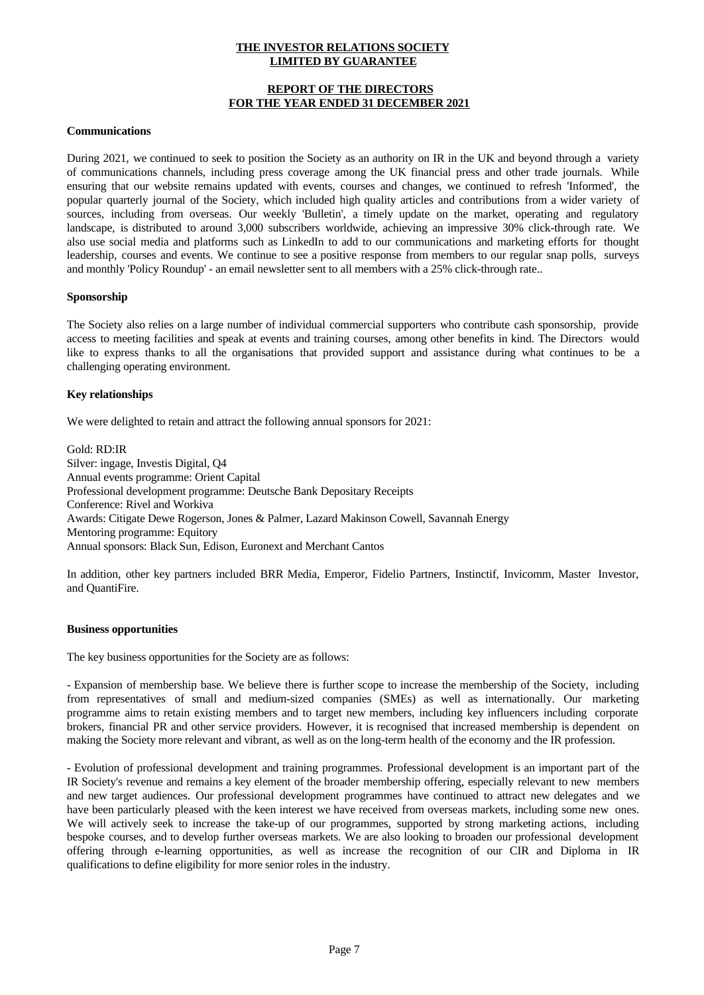## **REPORT OF THE DIRECTORS FOR THE YEAR ENDED 31 DECEMBER 2021**

#### **Communications**

During 2021, we continued to seek to position the Society as an authority on IR in the UK and beyond through a variety of communications channels, including press coverage among the UK financial press and other trade journals. While ensuring that our website remains updated with events, courses and changes, we continued to refresh 'Informed', the popular quarterly journal of the Society, which included high quality articles and contributions from a wider variety of sources, including from overseas. Our weekly 'Bulletin', a timely update on the market, operating and regulatory landscape, is distributed to around 3,000 subscribers worldwide, achieving an impressive 30% click-through rate. We also use social media and platforms such as LinkedIn to add to our communications and marketing efforts for thought leadership, courses and events. We continue to see a positive response from members to our regular snap polls, surveys and monthly 'Policy Roundup' - an email newsletter sent to all members with a 25% click-through rate..

#### **Sponsorship**

The Society also relies on a large number of individual commercial supporters who contribute cash sponsorship, provide access to meeting facilities and speak at events and training courses, among other benefits in kind. The Directors would like to express thanks to all the organisations that provided support and assistance during what continues to be a challenging operating environment.

## **Key relationships**

We were delighted to retain and attract the following annual sponsors for 2021:

Gold: RD:IR Silver: ingage, Investis Digital, Q4 Annual events programme: Orient Capital Professional development programme: Deutsche Bank Depositary Receipts Conference: Rivel and Workiva Awards: Citigate Dewe Rogerson, Jones & Palmer, Lazard Makinson Cowell, Savannah Energy Mentoring programme: Equitory Annual sponsors: Black Sun, Edison, Euronext and Merchant Cantos

In addition, other key partners included BRR Media, Emperor, Fidelio Partners, Instinctif, Invicomm, Master Investor, and QuantiFire.

#### **Business opportunities**

The key business opportunities for the Society are as follows:

- Expansion of membership base. We believe there is further scope to increase the membership of the Society, including from representatives of small and medium-sized companies (SMEs) as well as internationally. Our marketing programme aims to retain existing members and to target new members, including key influencers including corporate brokers, financial PR and other service providers. However, it is recognised that increased membership is dependent on making the Society more relevant and vibrant, as well as on the long-term health of the economy and the IR profession.

- Evolution of professional development and training programmes. Professional development is an important part of the IR Society's revenue and remains a key element of the broader membership offering, especially relevant to new members and new target audiences. Our professional development programmes have continued to attract new delegates and we have been particularly pleased with the keen interest we have received from overseas markets, including some new ones. We will actively seek to increase the take-up of our programmes, supported by strong marketing actions, including bespoke courses, and to develop further overseas markets. We are also looking to broaden our professional development offering through e-learning opportunities, as well as increase the recognition of our CIR and Diploma in IR qualifications to define eligibility for more senior roles in the industry.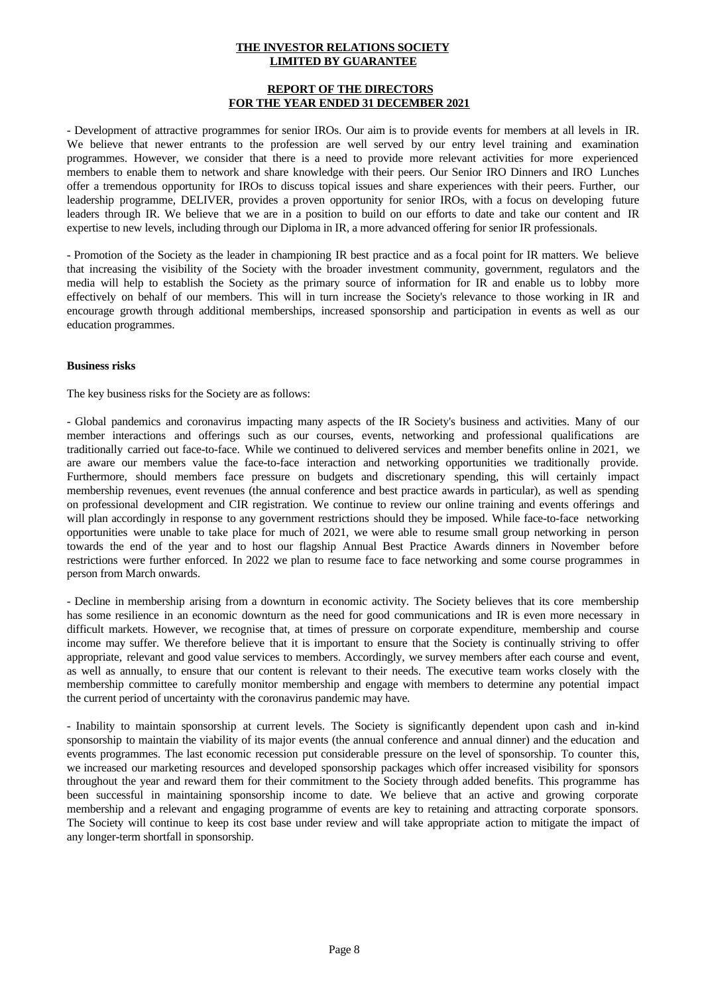#### **REPORT OF THE DIRECTORS FOR THE YEAR ENDED 31 DECEMBER 2021**

- Development of attractive programmes for senior IROs. Our aim is to provide events for members at all levels in IR. We believe that newer entrants to the profession are well served by our entry level training and examination programmes. However, we consider that there is a need to provide more relevant activities for more experienced members to enable them to network and share knowledge with their peers. Our Senior IRO Dinners and IRO Lunches offer a tremendous opportunity for IROs to discuss topical issues and share experiences with their peers. Further, our leadership programme, DELIVER, provides a proven opportunity for senior IROs, with a focus on developing future leaders through IR. We believe that we are in a position to build on ourefforts to date and take our content and IR expertise to new levels, including through our Diploma in IR, a more advanced offering for senior IR professionals.

- Promotion of the Society as the leader in championing IR best practice and as a focal point for IR matters. We believe that increasing the visibility of the Society with the broader investment community, government, regulators and the media will help to establish the Society as the primary source of information for IR and enable us to lobby more effectively on behalf of our members. This will in turn increase the Society's relevance to those working in IR and encourage growth through additional memberships, increased sponsorship and participation in events as wellas our education programmes.

#### **Business risks**

The key business risks for the Society are as follows:

- Global pandemics and coronavirus impacting many aspects of the IR Society's business and activities. Many of our member interactions and offerings such as our courses, events, networking and professional qualifications are traditionally carried out face-to-face. While we continued to delivered services and member benefits online in 2021, we are aware our members value the face-to-face interaction and networking opportunities we traditionally provide. Furthermore, should members face pressure on budgets and discretionary spending, this will certainly impact membership revenues, event revenues (the annual conference and best practice awards in particular), as well as spending on professional development and CIR registration. We continue to review our online training and events offerings and will plan accordingly in response to any government restrictions should they be imposed. While face-to-face networking opportunities were unable to take place for much of 2021, we were able to resume small group networking in person towards the end of the year and to host our flagship Annual Best Practice Awards dinners in November before restrictions were further enforced. In 2022 we plan to resume face to face networking and some course programmes in person from March onwards.

- Decline in membership arising from a downturn in economic activity. The Society believes that its core membership has some resilience in an economic downturn as the need for good communications and IR is even more necessary in difficult markets. However, we recognise that, at times of pressure on corporate expenditure, membership and course income may suffer. We therefore believe that it is important to ensure that the Society is continually striving to offer appropriate, relevant and good value services to members. Accordingly, we survey members after each course and event, as wellas annually, to ensure that our content is relevant to their needs. The executive team works closely with the membership committee to carefully monitor membership and engage with members to determine any potential impact the current period of uncertainty with the coronavirus pandemic may have.

- Inability to maintain sponsorship at current levels. The Society is significantly dependent upon cash and in-kind sponsorship to maintain the viability of its major events (the annual conference and annual dinner) and the education and events programmes. The last economic recession put considerable pressure on the level of sponsorship. To counter this, we increased our marketing resources and developed sponsorship packages which offer increased visibility for sponsors throughout the year and reward them for their commitment to the Society through added benefits. This programme has been successful in maintaining sponsorship income to date. We believe that an active and growing corporate membership and a relevant and engaging programme of events are key to retaining and attracting corporate sponsors. The Society will continue to keep its cost base under review and will take appropriate action to mitigate the impact of any longer-term shortfall in sponsorship.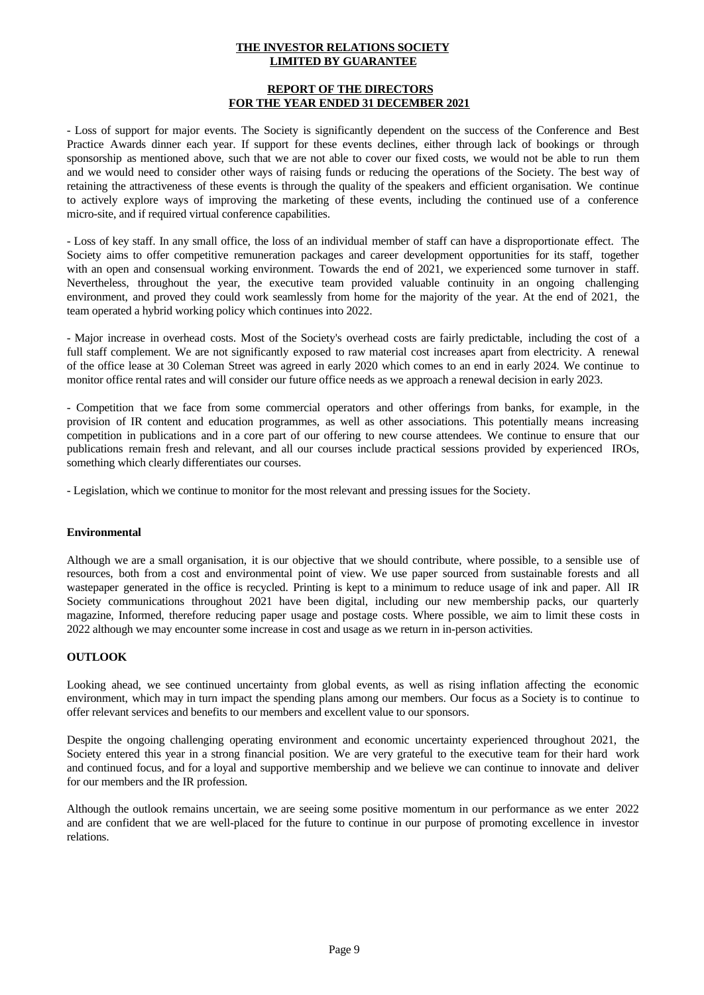#### **REPORT OF THE DIRECTORS FOR THE YEAR ENDED 31 DECEMBER 2021**

- Loss of support for major events. The Society is significantly dependent on the success of the Conference and Best Practice Awards dinner each year. If support for these events declines, either through lack of bookings or through sponsorship as mentioned above, such that we are notable to cover our fixed costs, we would not be able to run them and we would need to consider other ways of raising funds or reducing the operations of the Society. The best way of retaining the attractiveness of these events is through the quality of the speakers and efficient organisation. We continue to actively explore ways of improving the marketing of these events, including the continued use of a conference micro-site, and if required virtual conference capabilities.

- Loss of key staff. In any small office, the loss of an individual member of staff can have a disproportionate effect. The Society aims to offer competitive remuneration packages and career development opportunities for its staff, together with an open and consensual working environment. Towards the end of 2021, we experienced some turnover in staff. Nevertheless, throughout the year, the executive team provided valuable continuity in an ongoing challenging environment, and proved they could work seamlessly from home for the majority of the year. At the end of 2021, the team operated a hybrid working policy which continues into 2022.

- Major increase in overhead costs. Most of the Society's overhead costs are fairly predictable, including the cost of a full staff complement. We are not significantly exposed to raw material cost increases apart from electricity. A renewal of the office lease at 30 Coleman Street was agreed in early 2020 which comes to an end in early 2024. We continue to monitor office rental rates and will consider our future office needs as we approach a renewal decision in early 2023.

- Competition that we face from some commercial operators and other offerings from banks, for example, in the provision of IR content and education programmes, as wellas other associations. This potentially means increasing competition in publications and in a core part of our offering to new course attendees. We continue to ensure that our publications remain fresh and relevant, and all our courses include practical sessions provided by experienced IROs, something which clearly differentiates our courses.

- Legislation, which we continue to monitor for the most relevant and pressing issues for the Society.

## **Environmental**

Although we are a small organisation, it is our objective that we should contribute, where possible, to a sensible use of resources, both from a cost and environmental point of view. We use paper sourced from sustainable forests and all wastepaper generated in the office is recycled. Printing is kept to a minimum to reduce usage of ink and paper. All IR Society communications throughout 2021 have been digital, including our new membership packs, our quarterly magazine, Informed, therefore reducing paper usage and postage costs. Where possible, we aim to limit these costs in 2022 although we may encounter some increase in cost and usage as we return in in-person activities.

## **OUTLOOK**

Looking ahead, we see continued uncertainty from global events, as well as rising inflation affecting the economic environment, which may in turn impact the spending plans among our members. Our focus as a Society is to continue to offer relevant services and benefits to our members and excellent value to our sponsors.

Despite the ongoing challenging operating environment and economic uncertainty experienced throughout 2021, the Society entered this year in a strong financial position. We are very grateful to the executive team for their hard work and continued focus, and for a loyal and supportive membership and we believe we can continue to innovate and deliver for our members and the IR profession.

Although the outlook remains uncertain, we are seeing some positive momentum in our performance as we enter 2022 and are confident that we are well-placed for the future to continue in our purpose of promoting excellence in investor relations.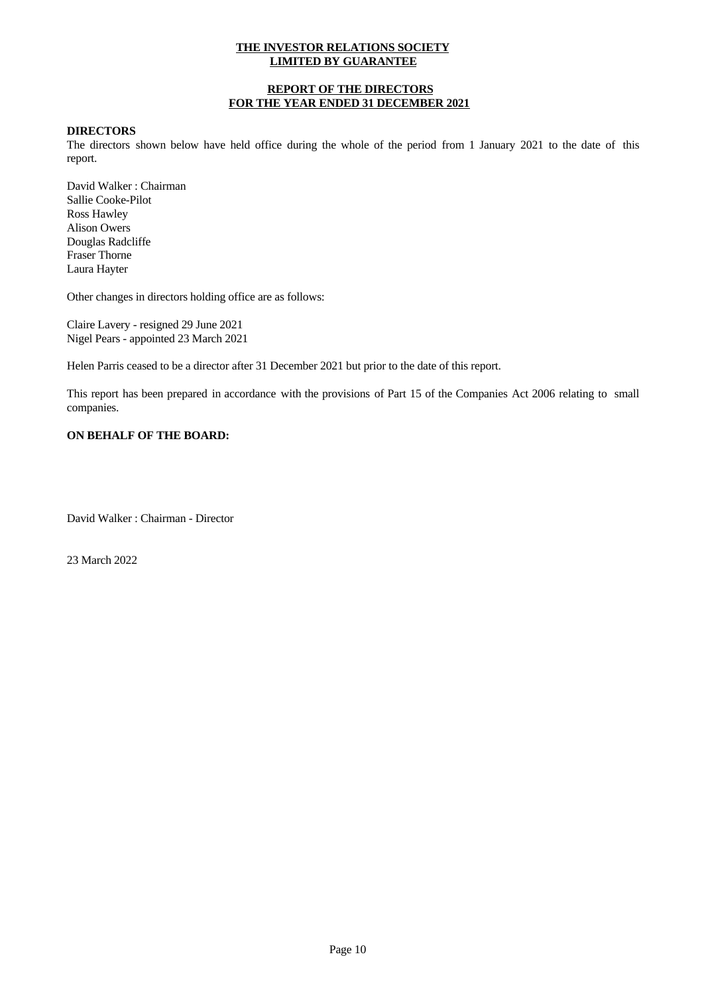## **REPORT OF THE DIRECTORS FOR THE YEAR ENDED 31 DECEMBER 2021**

#### **DIRECTORS**

The directors shown below have held office during the whole of the period from 1 January 2021 to the date of this report.

David Walker : Chairman Sallie Cooke-Pilot Ross Hawley Alison Owers Douglas Radcliffe Fraser Thorne Laura Hayter

Other changes in directors holding office are as follows:

Claire Lavery - resigned 29 June 2021 Nigel Pears - appointed 23 March 2021

Helen Parris ceased to be a director after 31 December 2021 but prior to the date of this report.

This report has been prepared in accordance with the provisions of Part 15 of the Companies Act 2006 relating to small companies.

## **ON BEHALF OF THE BOARD:**

David Walker : Chairman - Director

23 March 2022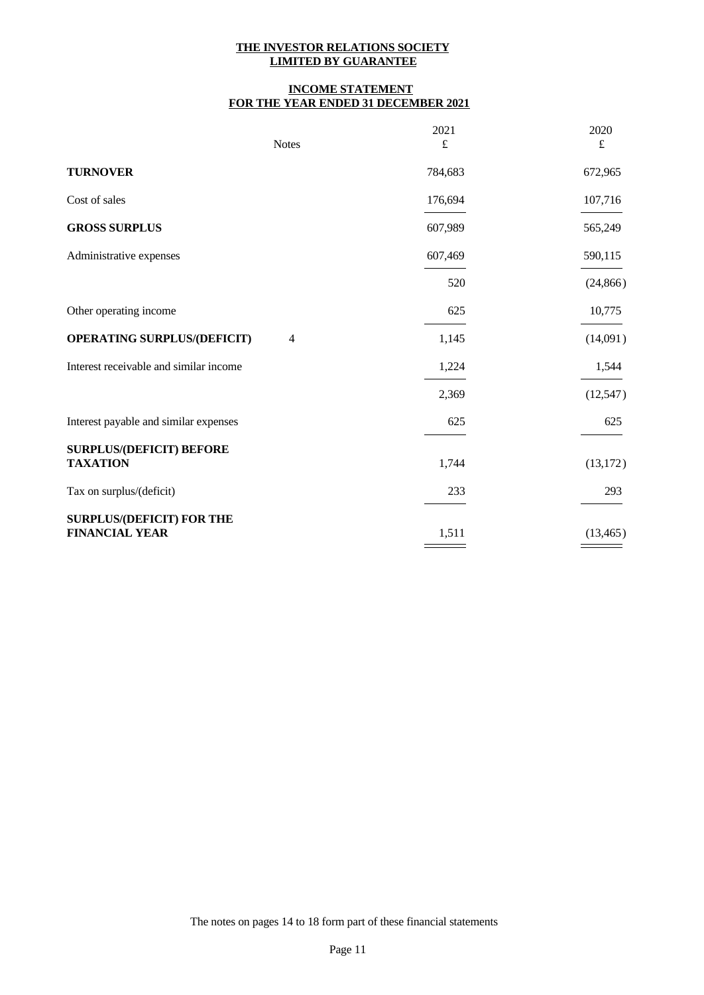# **INCOME STATEMENT FOR THE YEAR ENDED 31 DECEMBER 2021**

|                                                           | <b>Notes</b>   | 2021<br>$\pounds$ | 2020<br>£ |
|-----------------------------------------------------------|----------------|-------------------|-----------|
| <b>TURNOVER</b>                                           |                | 784,683           | 672,965   |
| Cost of sales                                             |                | 176,694           | 107,716   |
| <b>GROSS SURPLUS</b>                                      |                | 607,989           | 565,249   |
| Administrative expenses                                   |                | 607,469           | 590,115   |
|                                                           |                | 520               | (24, 866) |
| Other operating income                                    |                | 625               | 10,775    |
| <b>OPERATING SURPLUS/(DEFICIT)</b>                        | $\overline{4}$ | 1,145             | (14,091)  |
| Interest receivable and similar income                    |                | 1,224             | 1,544     |
|                                                           |                | 2,369             | (12, 547) |
| Interest payable and similar expenses                     |                | 625               | 625       |
| <b>SURPLUS/(DEFICIT) BEFORE</b><br><b>TAXATION</b>        |                | 1,744             | (13, 172) |
| Tax on surplus/(deficit)                                  |                | 233               | 293       |
| <b>SURPLUS/(DEFICIT) FOR THE</b><br><b>FINANCIAL YEAR</b> |                | 1,511             | (13, 465) |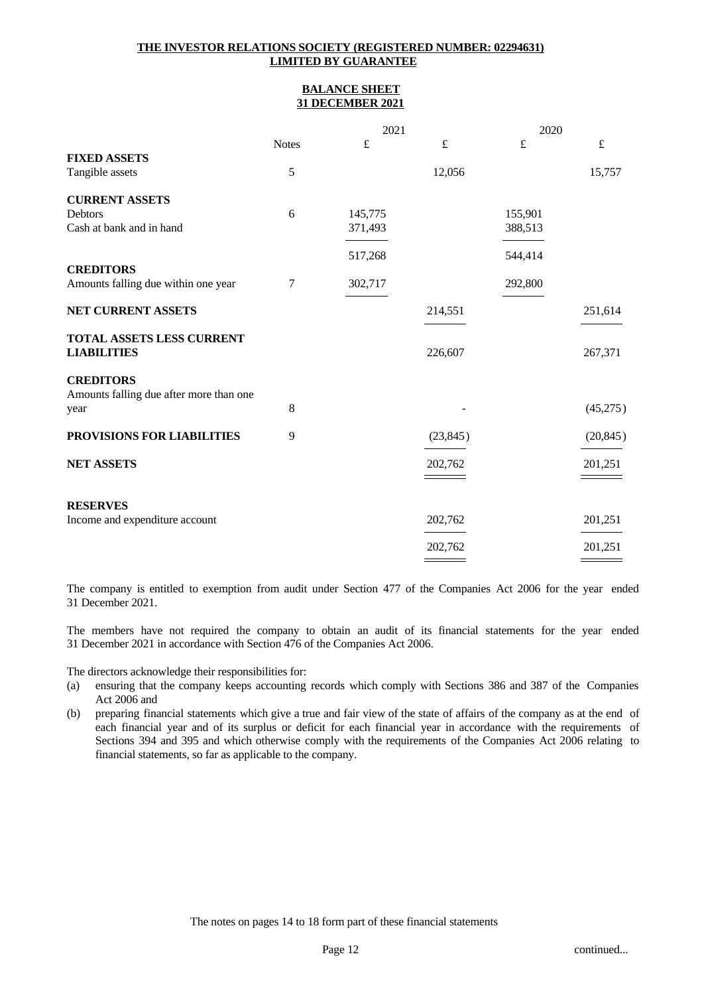## **THE INVESTOR RELATIONS SOCIETY (REGISTERED NUMBER: 02294631) LIMITED BY GUARANTEE**

#### **BALANCE SHEET 31 DECEMBER 2021**

|                                         |              | 2021      |           | 2020      |           |  |
|-----------------------------------------|--------------|-----------|-----------|-----------|-----------|--|
|                                         | <b>Notes</b> | $\pounds$ | $\pounds$ | $\pounds$ | $\pounds$ |  |
| <b>FIXED ASSETS</b>                     |              |           |           |           |           |  |
| Tangible assets                         | 5            |           | 12,056    |           | 15,757    |  |
| <b>CURRENT ASSETS</b>                   |              |           |           |           |           |  |
| Debtors                                 | 6            | 145,775   |           | 155,901   |           |  |
| Cash at bank and in hand                |              | 371,493   |           | 388,513   |           |  |
|                                         |              |           |           |           |           |  |
|                                         |              | 517,268   |           | 544,414   |           |  |
| <b>CREDITORS</b>                        |              |           |           |           |           |  |
| Amounts falling due within one year     | 7            | 302,717   |           | 292,800   |           |  |
|                                         |              |           |           |           |           |  |
| NET CURRENT ASSETS                      |              |           | 214,551   |           | 251,614   |  |
| TOTAL ASSETS LESS CURRENT               |              |           |           |           |           |  |
| <b>LIABILITIES</b>                      |              |           | 226,607   |           | 267,371   |  |
|                                         |              |           |           |           |           |  |
| <b>CREDITORS</b>                        |              |           |           |           |           |  |
| Amounts falling due after more than one |              |           |           |           |           |  |
| year                                    | 8            |           |           |           | (45,275)  |  |
|                                         |              |           |           |           |           |  |
| PROVISIONS FOR LIABILITIES              | 9            |           | (23, 845) |           | (20, 845) |  |
|                                         |              |           |           |           |           |  |
| <b>NET ASSETS</b>                       |              |           | 202,762   |           | 201,251   |  |
|                                         |              |           |           |           |           |  |
| <b>RESERVES</b>                         |              |           |           |           |           |  |
| Income and expenditure account          |              |           | 202,762   |           | 201,251   |  |
|                                         |              |           |           |           |           |  |
|                                         |              |           | 202,762   |           | 201,251   |  |
|                                         |              |           |           |           |           |  |

The company is entitled to exemption from audit under Section 477 of the Companies Act 2006 for the year ended 31 December 2021.

The members have not required the company to obtain an audit of its financial statements for the year ended 31 December 2021 in accordance with Section 476 of the Companies Act 2006.

The directors acknowledge their responsibilities for:

- (a) ensuring that the company keeps accounting records which comply with Sections 386 and 387 of the Companies Act 2006 and
- (b) preparing financial statements which give a true and fair view of the state of affairs ofthe company as at the end of each financial year and of its surplus or deficit for each financial year in accordance with the requirements of Sections 394 and 395 and which otherwise comply with the requirements of the Companies Act 2006 relating to financial statements, so far as applicable to the company.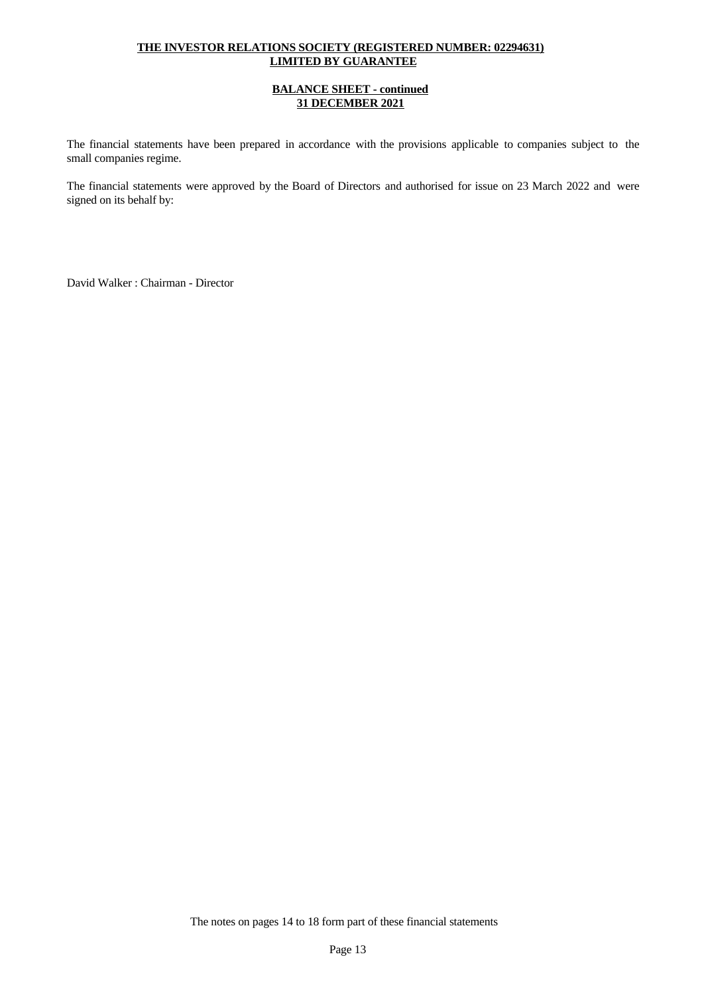# **THE INVESTOR RELATIONS SOCIETY (REGISTERED NUMBER: 02294631) LIMITED BY GUARANTEE**

## **BALANCE SHEET - continued 31 DECEMBER 2021**

The financial statements have been prepared in accordance with the provisions applicable to companies subject to the small companies regime.

The financial statements were approved by the Board of Directors and authorised for issue on 23 March 2022 and were signed on its behalf by:

David Walker : Chairman - Director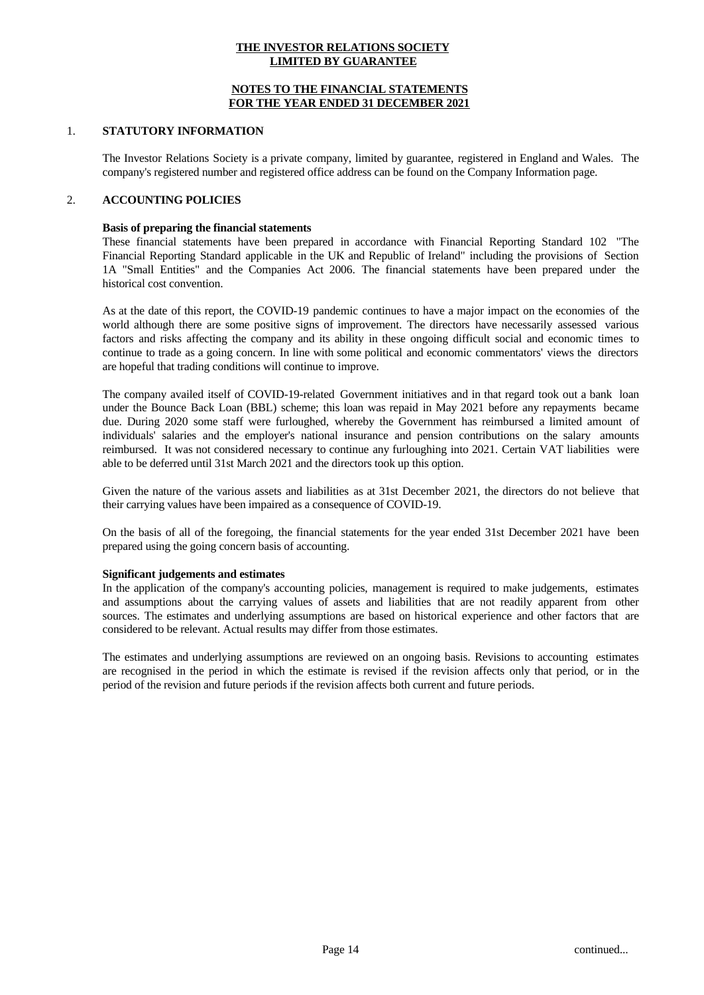#### **NOTES TO THE FINANCIAL STATEMENTS FOR THE YEAR ENDED 31 DECEMBER 2021**

#### 1. **STATUTORY INFORMATION**

The Investor Relations Society is a private company, limited by guarantee, registered in England and Wales. The company's registered number and registered office address can be found on the Company Information page.

## 2. **ACCOUNTING POLICIES**

#### **Basis of preparing the financial statements**

These financial statements have been prepared in accordance with Financial Reporting Standard 102 "The Financial Reporting Standard applicable in the UK and Republic of Ireland" including the provisions of Section 1A "Small Entities" and the Companies Act 2006. The financial statements have been prepared under the historical cost convention.

As at the date of this report, the COVID-19 pandemic continues to have a major impact on the economies of the world although there are some positive signs of improvement. The directors have necessarily assessed various factors and risks affecting the company and its ability in these ongoing difficult social and economic times to continue to trade as a going concern. In line with some political and economic commentators' views the directors are hopeful that trading conditions will continue to improve.

The company availed itself of COVID-19-related Government initiatives and in that regard took out a bank loan under the Bounce Back Loan (BBL) scheme; this loan was repaid in May 2021 before any repayments became due. During 2020 some staff were furloughed, whereby the Government has reimbursed a limited amount of individuals' salaries and the employer's national insurance and pension contributions on the salary amounts reimbursed. It was not considered necessary to continue any furloughing into 2021. Certain VAT liabilities were able to be deferred until 31st March 2021 and the directors took up this option.

Given the nature of the various assets and liabilities as at 31st December 2021, the directors do not believe that their carrying values have been impaired as a consequence of COVID-19.

On the basis of all of the foregoing, the financial statements for the year ended 31st December 2021 have been prepared using the going concern basis of accounting.

#### **Significant judgements and estimates**

In the application of the company's accounting policies, management is required to make judgements, estimates and assumptions about the carrying values of assets and liabilities that are not readily apparent from other sources. The estimates and underlying assumptions are based on historical experience and other factors that are considered to be relevant. Actual results may differ from those estimates.

The estimates and underlying assumptions are reviewed on an ongoing basis. Revisions to accounting estimates are recognised in the period in which the estimate is revised if the revision affects only that period, or in the period of the revision and future periods if the revision affects both current and future periods.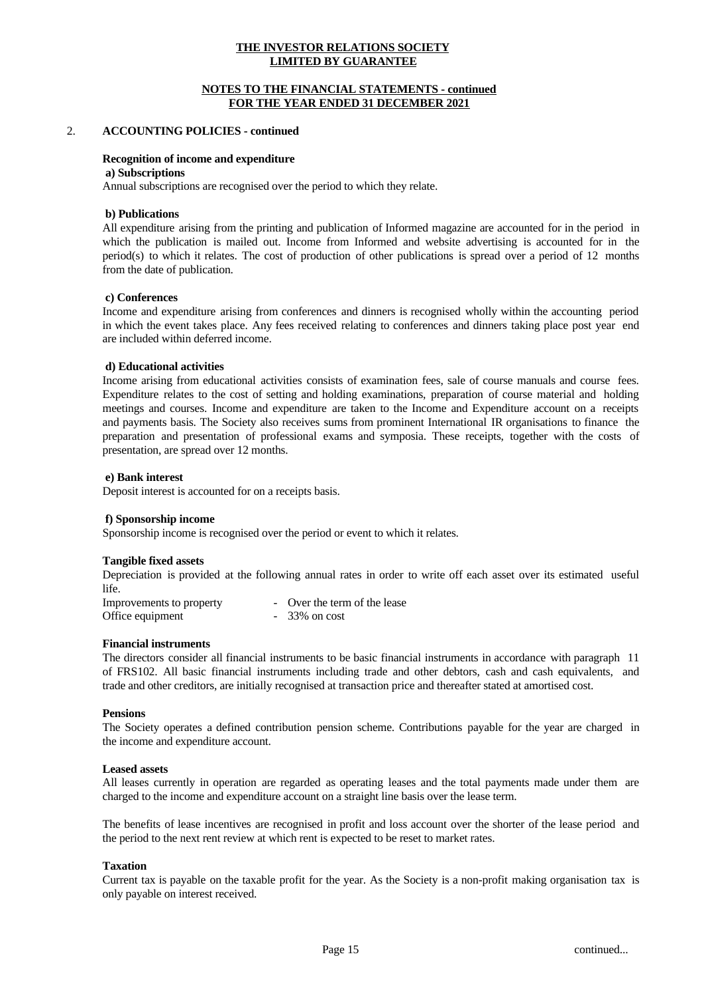#### **NOTES TO THE FINANCIAL STATEMENTS - continued FOR THE YEAR ENDED 31 DECEMBER 2021**

## 2. **ACCOUNTING POLICIES - continued**

#### **Recognition of income and expenditure**

#### **a) Subscriptions**

Annual subscriptions are recognised over the period to which they relate.

#### **b) Publications**

All expenditure arising from the printing and publication of Informed magazine are accounted for in the period in which the publication is mailed out. Income from Informed and website advertising is accounted for in the period(s) to which it relates. The cost of production of other publications is spread over a period of 12 months from the date of publication.

#### **c) Conferences**

Income and expenditure arising from conferences and dinners is recognised wholly within the accounting period in which the event takes place.Any fees received relating to conferences and dinners taking place post year end are included within deferred income.

#### **d) Educational activities**

Income arising from educational activities consists of examination fees, sale of course manuals and course fees. Expenditure relates to the cost of setting and holding examinations, preparation of course material and holding meetings and courses. Income and expenditure are taken to the Income and Expenditure account on a receipts and payments basis. The Society also receives sums from prominent International IR organisations to finance the preparation and presentation of professional exams and symposia. These receipts, together with the costs of presentation, are spread over 12 months.

#### **e) Bank interest**

Deposit interest is accounted for on a receipts basis.

#### **f) Sponsorship income**

Sponsorship income is recognised over the period or event to which it relates.

#### **Tangible fixed assets**

Depreciation is provided at the following annual rates in order to write off each asset over its estimated useful life.

| Improvements to property | - Over the term of the lease |
|--------------------------|------------------------------|
| Office equipment         | $-33\%$ on cost              |

#### **Financial instruments**

The directors consider all financial instruments to be basic financial instruments in accordance with paragraph 11 of FRS102. All basic financial instruments including trade and other debtors, cash and cash equivalents, and trade and other creditors, are initially recognised at transaction price and thereafter stated at amortised cost.

#### **Pensions**

The Society operates a defined contribution pension scheme. Contributions payable for the yearare charged in the income and expenditure account.

#### **Leased assets**

All leases currently in operation are regarded as operating leases and the total payments made under them are charged to the income and expenditure account on a straight line basis over the lease term.

The benefits of lease incentives are recognised in profit and loss account over the shorter of the lease period and the period to the next rent review at which rent is expected to be reset to market rates.

#### **Taxation**

Current tax is payable on the taxable profit for the year. As the Society is a non-profit making organisation tax is only payable on interest received.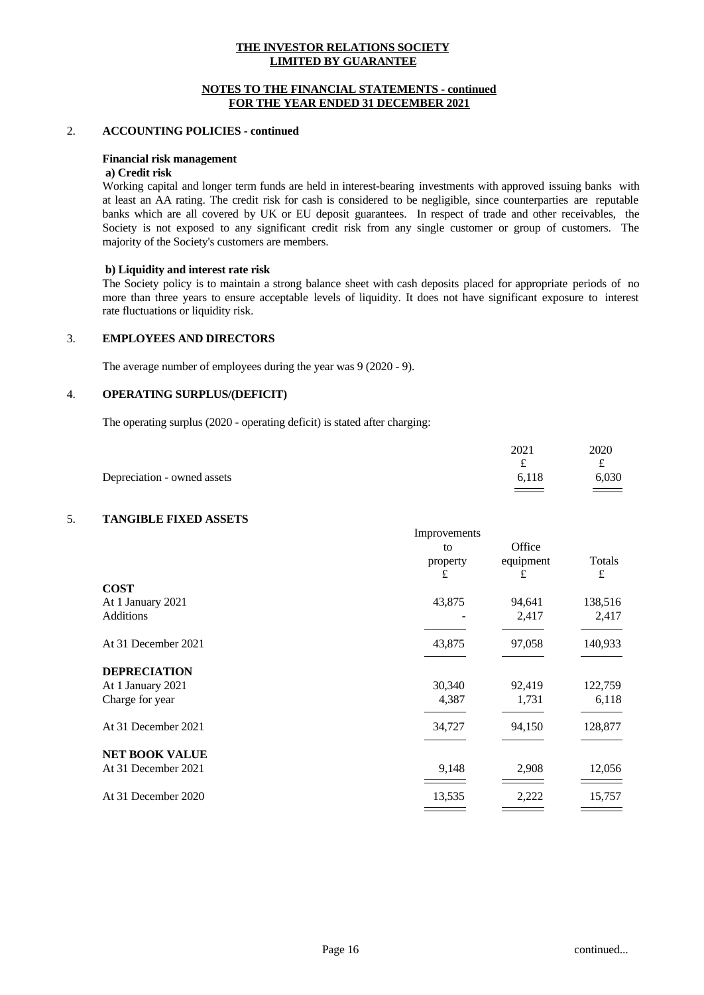#### **NOTES TO THE FINANCIAL STATEMENTS - continued FOR THE YEAR ENDED 31 DECEMBER 2021**

#### 2. **ACCOUNTING POLICIES - continued**

#### **Financial risk management**

# **a) Credit risk**

Working capital and longer term funds are held in interest-bearing investments with approved issuing banks with at least an AA rating. The credit risk for cash is considered to be negligible, since counterparties are reputable banks which are all covered by UK or EU deposit guarantees. In respect of trade and other receivables, the Society is not exposed to any significant credit risk from any single customer or group of customers. The majority of the Society's customers are members.

#### **b) Liquidity and interest rate risk**

The Society policy is to maintain a strong balance sheet with cash deposits placed for appropriate periods of no more than three years to ensure acceptable levels of liquidity. It does not have significant exposure to interest rate fluctuations or liquidity risk.

# 3. **EMPLOYEES AND DIRECTORS**

The average number of employees during the year was 9 (2020 - 9).

#### 4. **OPERATING SURPLUS/(DEFICIT)**

The operating surplus (2020 - operating deficit) is stated after charging:

|                             | 2021  | 2020  |
|-----------------------------|-------|-------|
|                             |       | ົ     |
| Depreciation - owned assets | 6,118 | 6,030 |
|                             |       | _____ |

# 5. **TANGIBLE FIXED ASSETS**

|                       | Improvements |           |         |  |
|-----------------------|--------------|-----------|---------|--|
|                       | to           | Office    |         |  |
|                       | property     | equipment | Totals  |  |
|                       | £            | £         | £       |  |
| <b>COST</b>           |              |           |         |  |
| At 1 January 2021     | 43,875       | 94,641    | 138,516 |  |
| Additions             |              | 2,417     | 2,417   |  |
| At 31 December 2021   | 43,875       | 97,058    | 140,933 |  |
| <b>DEPRECIATION</b>   |              |           |         |  |
| At 1 January 2021     | 30,340       | 92,419    | 122,759 |  |
| Charge for year       | 4,387        | 1,731     | 6,118   |  |
| At 31 December 2021   | 34,727       | 94,150    | 128,877 |  |
| <b>NET BOOK VALUE</b> |              |           |         |  |
| At 31 December 2021   | 9,148        | 2,908     | 12,056  |  |
| At 31 December 2020   | 13,535       | 2,222     | 15,757  |  |
|                       |              |           |         |  |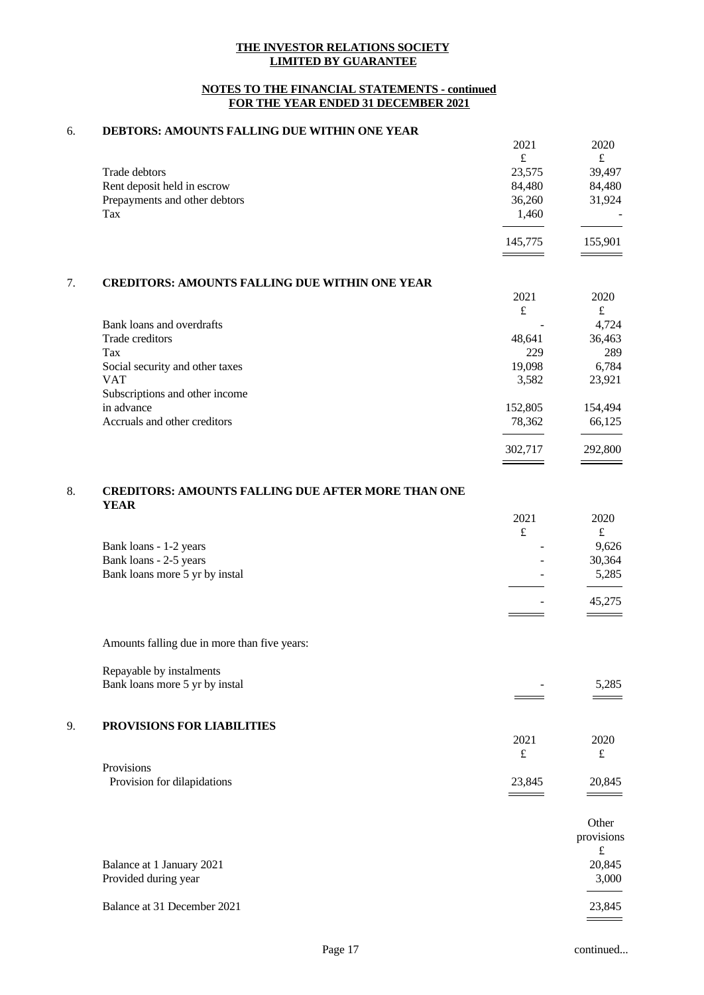## **NOTES TO THE FINANCIAL STATEMENTS - continued FOR THE YEAR ENDED 31 DECEMBER 2021**

# 6. **DEBTORS: AMOUNTS FALLING DUE WITHIN ONE YEAR**

|                                                       | 2021              | 2020              |
|-------------------------------------------------------|-------------------|-------------------|
|                                                       | $\pounds$         | $\pounds$         |
| Trade debtors                                         | 23,575            | 39,497            |
| Rent deposit held in escrow                           | 84,480            | 84,480            |
| Prepayments and other debtors                         | 36,260            | 31,924            |
| Tax                                                   | 1,460             |                   |
|                                                       | 145,775           | 155,901           |
|                                                       |                   |                   |
| <b>CREDITORS: AMOUNTS FALLING DUE WITHIN ONE YEAR</b> |                   |                   |
|                                                       |                   | 2020              |
|                                                       | 2021              |                   |
|                                                       | £                 | $\pounds$         |
| Bank loans and overdrafts                             |                   | 4,724             |
| Trade creditors                                       | 48,641            | 36,463            |
| Tax                                                   | 229               | 289               |
|                                                       | 19,098            |                   |
| Social security and other taxes<br><b>VAT</b>         | 3,582             | 6,784             |
|                                                       |                   | 23,921            |
| Subscriptions and other income<br>in advance          |                   |                   |
| Accruals and other creditors                          | 152,805<br>78,362 | 154,494<br>66,125 |

# 8. **CREDITORS: AMOUNTS FALLING DUE AFTER MORE THAN ONE YEAR**

|                                | 2021   | 2020                        |  |
|--------------------------------|--------|-----------------------------|--|
|                                | £      | £                           |  |
| Bank loans - 1-2 years         | -      | 9,626                       |  |
| Bank loans - 2-5 years         | -      | 30,364                      |  |
| Bank loans more 5 yr by instal | $\sim$ | 5,285                       |  |
|                                |        |                             |  |
|                                | ۰      | 45,275                      |  |
|                                |        | $\overbrace{\hspace{27mm}}$ |  |

Amounts falling due in more than five years:

Repayable by instalments Bank loans more 5 yr by instal - 5,285

## 9. **PROVISIONS FOR LIABILITIES**

|                             | 2021            | 2020   |  |
|-----------------------------|-----------------|--------|--|
|                             | $\epsilon$<br>ے | ົ      |  |
| Provisions                  |                 |        |  |
| Provision for dilapidations | 23,845          | 20,845 |  |
|                             | ____            |        |  |

|                             | Other<br>provisions |
|-----------------------------|---------------------|
|                             | £                   |
| Balance at 1 January 2021   | 20,845              |
| Provided during year        | 3,000               |
| Balance at 31 December 2021 | 23,845              |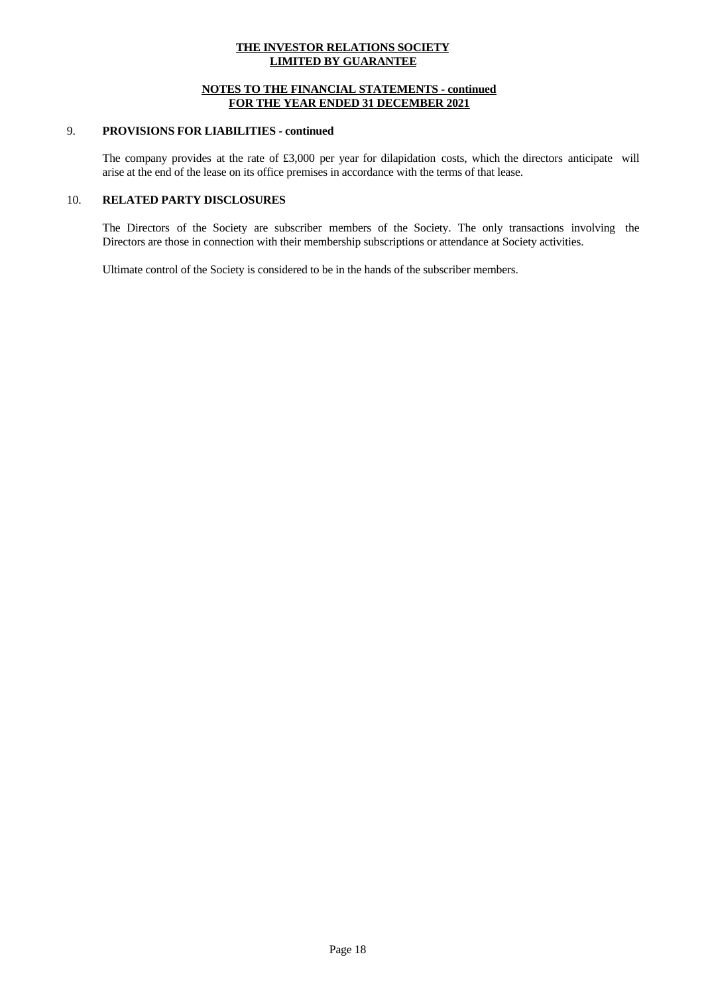## **NOTES TO THE FINANCIAL STATEMENTS - continued FOR THE YEAR ENDED 31 DECEMBER 2021**

## 9. **PROVISIONS FOR LIABILITIES - continued**

The company provides at the rate of £3,000 per year for dilapidation costs, which the directors anticipate will arise at the end of the lease on its office premises in accordance with the terms of that lease.

# 10. **RELATED PARTY DISCLOSURES**

The Directors of the Society are subscriber members of the Society.The only transactions involving the Directors are those in connection with their membership subscriptions or attendance at Society activities.

Ultimate control of the Society is considered to be in the hands of the subscriber members.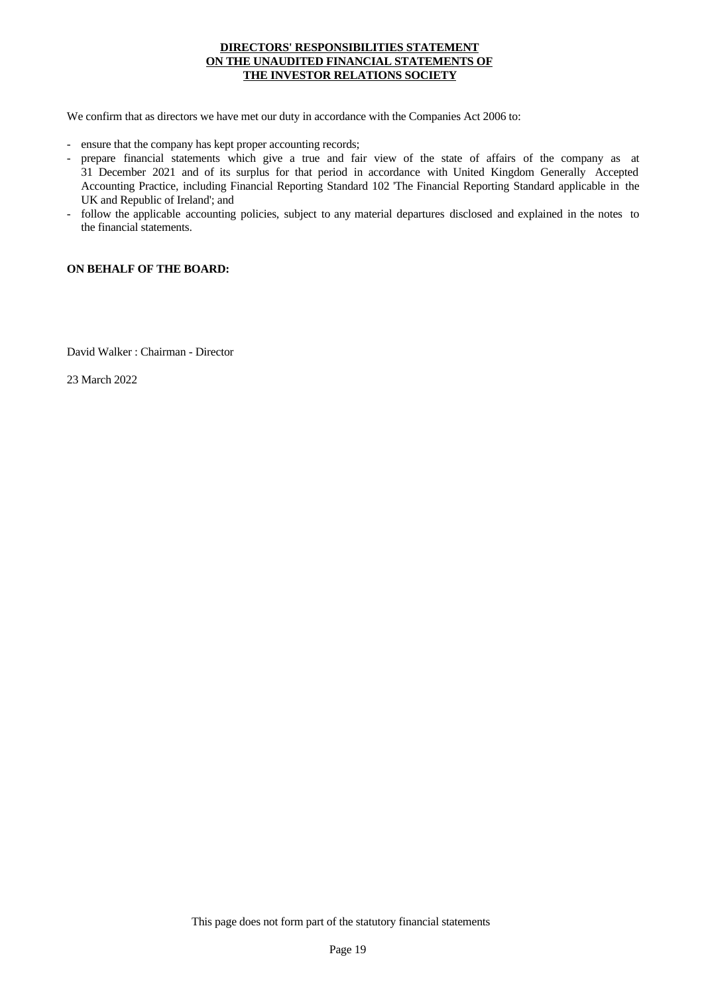# **DIRECTORS' RESPONSIBILITIES STATEMENT ON THE UNAUDITED FINANCIAL STATEMENTS OF THE INVESTOR RELATIONS SOCIETY**

- 
- We confirm that as directors we have met our duty in accordance with the Companies Act 2006 to:<br>- ensure that the company has kept proper accounting records;<br>- prepare financial statements which give a true and fair view o 31 December 2021 and of its surplus for that period in accordance with United Kingdom Generally Accepted Accounting Practice, including Financial Reporting Standard 102 'The Financial Reporting Standard applicable in the
- follow the applicable accounting policies, subject to any material departures disclosed and explained in the notes to the financial statements.

## **ON BEHALF OF THE BOARD:**

David Walker : Chairman - Director

23 March 2022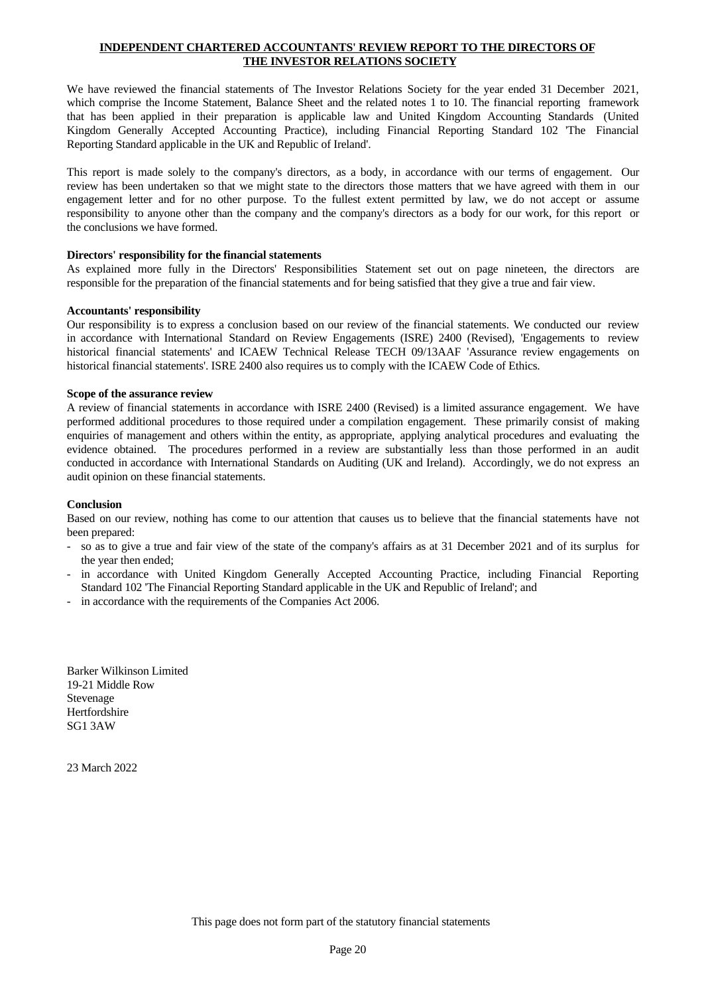# **INDEPENDENT CHARTERED ACCOUNTANTS' REVIEW REPORT TO THE DIRECTORS OF THE INVESTOR RELATIONS SOCIETY**

We have reviewed the financial statements of The Investor Relations Society for the year ended 31 December 2021, which comprise the Income Statement, Balance Sheet and the related notes 1 to 10. The financial reporting framework that has been applied in their preparation is applicable law and United Kingdom Accounting Standards (United Kingdom Generally Accepted Accounting Practice), including Financial Reporting Standard 102 'The Financial Reporting Standard applicable in the UK and Republic of Ireland'.

This report is made solely to the company's directors, as a body, in accordance with our terms of engagement. Our review has been undertaken so that we might state to the directors those matters that we have agreed with them in our engagement letter and for no other purpose. To the fullest extent permitted by law, we do notaccept or assume responsibility to anyone other than the company and the company's directors as a body for ourwork, for this report or the conclusions we have formed.

#### **Directors' responsibility for the financial statements**

As explained more fully in the Directors' Responsibilities Statement set out on page nineteen, the directors are responsible for the preparation of the financial statements and for being satisfied that they give a true and fair view.

#### **Accountants' responsibility**

Our responsibility is to express a conclusion based on our review of the financial statements. We conducted our review in accordance with International Standard on Review Engagements (ISRE) 2400 (Revised), 'Engagements to review historical financial statements' and ICAEW Technical Release TECH 09/13AAF 'Assurance review engagements on historical financial statements'. ISRE 2400 also requires us to comply with the ICAEW Code of Ethics.

#### **Scope of the assurance review**

A review of financial statements in accordance with ISRE 2400 (Revised) is a limited assurance engagement. We have performed additional procedures to those required under a compilation engagement. These primarily consist of making enquiries of management and others within the entity, as appropriate, applying analytical procedures and evaluating the evidence obtained. The procedures performed in a review are substantially less than those performed in an audit conducted in accordance with International Standards on Auditing (UK and Ireland). Accordingly, we do not express an audit opinion on these financial statements.

## **Conclusion**

Based on our review, nothing has come to our attention that causes us to believe that the financial statements have not

- been prepared:<br>- so as to give a true and fair view of the state of the company's affairs as at 31 December 2021 and of its surplus for the year then ended;<br>in accordance with United Kingdom Generally Accepted Accounting Practice, including Financial Reporting
- Standard 102 'The Financial Reporting Standard applicable in the UK and Republic of Ireland'; and in accordance with the requirements of the Companies Act 2006.
- 

Barker Wilkinson Limited 19-21 Middle Row Stevenage Hertfordshire SG1 3AW

23 March 2022